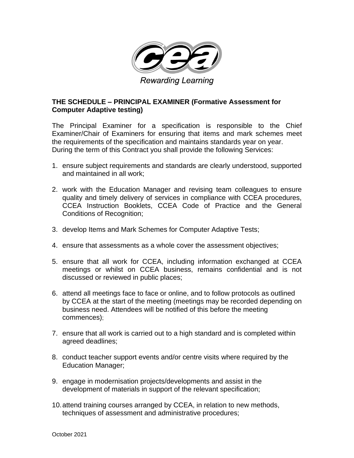

## **THE SCHEDULE – PRINCIPAL EXAMINER (Formative Assessment for Computer Adaptive testing)**

The Principal Examiner for a specification is responsible to the Chief Examiner/Chair of Examiners for ensuring that items and mark schemes meet the requirements of the specification and maintains standards year on year. During the term of this Contract you shall provide the following Services:

- 1. ensure subject requirements and standards are clearly understood, supported and maintained in all work;
- 2. work with the Education Manager and revising team colleagues to ensure quality and timely delivery of services in compliance with CCEA procedures, CCEA Instruction Booklets, CCEA Code of Practice and the General Conditions of Recognition;
- 3. develop Items and Mark Schemes for Computer Adaptive Tests;
- 4. ensure that assessments as a whole cover the assessment objectives;
- 5. ensure that all work for CCEA, including information exchanged at CCEA meetings or whilst on CCEA business, remains confidential and is not discussed or reviewed in public places;
- 6. attend all meetings face to face or online, and to follow protocols as outlined by CCEA at the start of the meeting (meetings may be recorded depending on business need. Attendees will be notified of this before the meeting commences);
- 7. ensure that all work is carried out to a high standard and is completed within agreed deadlines;
- 8. conduct teacher support events and/or centre visits where required by the Education Manager;
- 9. engage in modernisation projects/developments and assist in the development of materials in support of the relevant specification;
- 10.attend training courses arranged by CCEA, in relation to new methods, techniques of assessment and administrative procedures;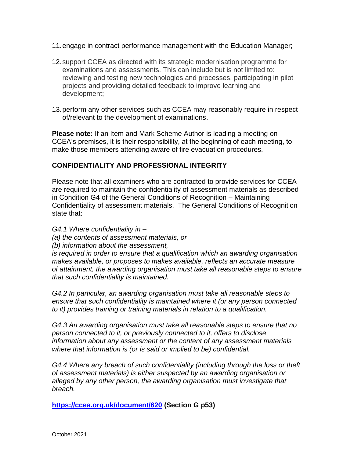- 11.engage in contract performance management with the Education Manager;
- 12.support CCEA as directed with its strategic modernisation programme for examinations and assessments. This can include but is not limited to: reviewing and testing new technologies and processes, participating in pilot projects and providing detailed feedback to improve learning and development;
- 13.perform any other services such as CCEA may reasonably require in respect of/relevant to the development of examinations.

**Please note:** If an Item and Mark Scheme Author is leading a meeting on CCEA's premises, it is their responsibility, at the beginning of each meeting, to make those members attending aware of fire evacuation procedures.

## **CONFIDENTIALITY AND PROFESSIONAL INTEGRITY**

Please note that all examiners who are contracted to provide services for CCEA are required to maintain the confidentiality of assessment materials as described in Condition G4 of the General Conditions of Recognition – Maintaining Confidentiality of assessment materials. The General Conditions of Recognition state that:

*G4.1 Where confidentiality in –*

*(a) the contents of assessment materials, or* 

*(b) information about the assessment,* 

*is required in order to ensure that a qualification which an awarding organisation makes available, or proposes to makes available, reflects an accurate measure of attainment, the awarding organisation must take all reasonable steps to ensure that such confidentiality is maintained.* 

*G4.2 In particular, an awarding organisation must take all reasonable steps to ensure that such confidentiality is maintained where it (or any person connected to it) provides training or training materials in relation to a qualification.* 

*G4.3 An awarding organisation must take all reasonable steps to ensure that no person connected to it, or previously connected to it, offers to disclose information about any assessment or the content of any assessment materials where that information is (or is said or implied to be) confidential.* 

*G4.4 Where any breach of such confidentiality (including through the loss or theft of assessment materials) is either suspected by an awarding organisation or alleged by any other person, the awarding organisation must investigate that breach.*

**<https://ccea.org.uk/document/620> (Section G p53)**